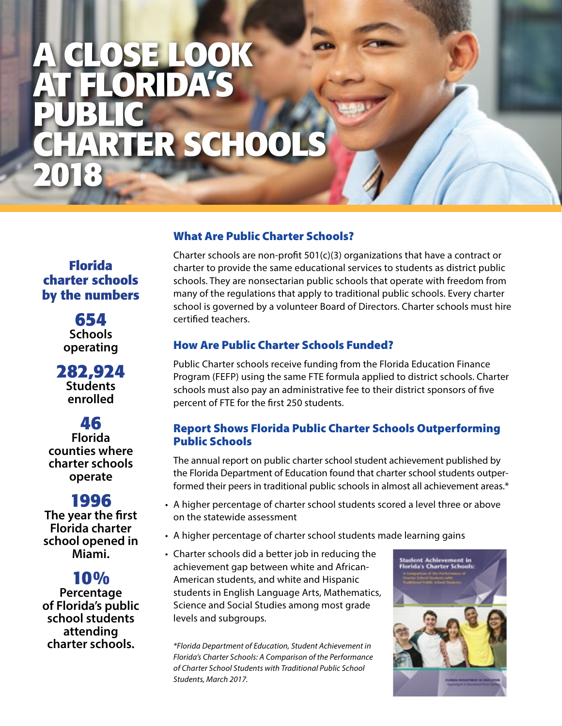# **A Close Look at Florida's Public RTER SCHOOL 2018**

**Florida charter schools by the numbers**

> **654 Schools operating**

**282,924 Students enrolled**

## **46**

**Florida counties where charter schools operate**

# **1996**

**The year the first Florida charter school opened in Miami.**

# **10%**

**Percentage of Florida's public school students attending charter schools.**

## What Are Public Charter Schools?

Charter schools are non-profit 501(c)(3) organizations that have a contract or charter to provide the same educational services to students as district public schools. They are nonsectarian public schools that operate with freedom from many of the regulations that apply to traditional public schools. Every charter school is governed by a volunteer Board of Directors. Charter schools must hire certified teachers.

### How Are Public Charter Schools Funded?

Public Charter schools receive funding from the Florida Education Finance Program (FEFP) using the same FTE formula applied to district schools. Charter schools must also pay an administrative fee to their district sponsors of five percent of FTE for the first 250 students.

### Report Shows Florida Public Charter Schools Outperforming Public Schools

The annual report on public charter school student achievement published by the Florida Department of Education found that charter school students outperformed their peers in traditional public schools in almost all achievement areas.\*

- A higher percentage of charter school students scored a level three or above on the statewide assessment
- A higher percentage of charter school students made learning gains
- Charter schools did a better job in reducing the achievement gap between white and African-American students, and white and Hispanic students in English Language Arts, Mathematics, Science and Social Studies among most grade levels and subgroups.

*\*Florida Department of Education, Student Achievement in Florida's Charter Schools: A Comparison of the Performance of Charter School Students with Traditional Public School Students, March 2017.*